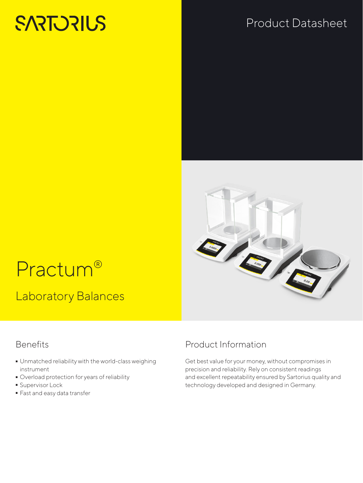# **SARTORIUS**

## Product Datasheet



# Practum®

Laboratory Balances

#### **Benefits**

- Unmatched reliability with the world-class weighing instrument
- Overload protection for years of reliability<br>
Supervisor Lock
- 
- Supervisor Lock<br>• Fast and easy da  $\overline{\phantom{a}}$  Fast and easy data transfer<br>

### Product Information

Get best value for your money, without compromises in precision and reliability. Rely on consistent readings and excellent repeatability ensured by Sartorius quality and technology developed and designed in Germany.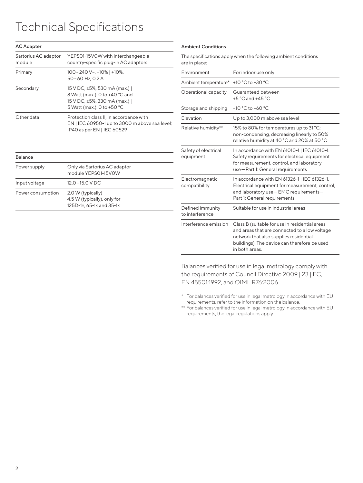# Technical Specifications

| <b>AC Adapter</b>              |                                                                                                                                |
|--------------------------------|--------------------------------------------------------------------------------------------------------------------------------|
| Sartorius AC adaptor<br>module | YEPS01-15V0W with interchangeable<br>country-specific plug-in AC adaptors                                                      |
| Primary                        | $100 - 240$ V $\sim$ , $-10\%$   +10%,<br>50 – 60 Hz, 0.2 A                                                                    |
| Secondary                      | 15 V DC, ±5%, 530 mA (max.)  <br>8 Watt (max.): 0 to +40 °C and<br>15 V DC, ±5%, 330 mA (max.)  <br>5 Watt (max.): 0 to +50 °C |
| Other data                     | Protection class II, in accordance with<br>EN   IEC 60950-1 up to 3000 m above sea level;<br>IP40 as per EN   IEC 60529        |
|                                |                                                                                                                                |

| <b>Balance</b>    |                                                                              |  |
|-------------------|------------------------------------------------------------------------------|--|
| Power supply      | Only via Sartorius AC adaptor<br>module YEPS01-15V0W                         |  |
| Input voltage     | $12.0 - 15.0$ V DC                                                           |  |
| Power consumption | 2.0 W (typically)<br>4.5 W (typically), only for<br>125D-1x, 65-1x and 35-1x |  |

| <b>Ambient Conditions</b>           |                                                                                                                                                                                                             |
|-------------------------------------|-------------------------------------------------------------------------------------------------------------------------------------------------------------------------------------------------------------|
| are in place:                       | The specifications apply when the following ambient conditions                                                                                                                                              |
| Environment                         | For indoor use only                                                                                                                                                                                         |
| Ambient temperature*                | +10 °C to +30 °C                                                                                                                                                                                            |
| Operational capacity                | Guaranteed between<br>$+5$ °C and $+45$ °C                                                                                                                                                                  |
| Storage and shipping                | $-10 °C$ to $+60 °C$                                                                                                                                                                                        |
| Elevation                           | Up to 3,000 m above sea level                                                                                                                                                                               |
| Relative humidity**                 | 15% to 80% for temperatures up to 31 °C;<br>non-condensing, decreasing linearly to 50%<br>relative humidity at 40 °C and 20% at 50 °C                                                                       |
| Safety of electrical<br>equipment   | In accordance with EN 61010-1   IEC 61010-1.<br>Safety requirements for electrical equipment<br>for measurement, control, and laboratory<br>use-Part 1: General requirements                                |
| Electromagnetic<br>compatibility    | In accordance with EN 61326-1   IEC 61326-1.<br>Electrical equipment for measurement, control,<br>and laboratory use - EMC requirements -<br>Part 1: General requirements                                   |
| Defined immunity<br>to interference | Suitable for use in industrial areas                                                                                                                                                                        |
| Interference emission               | Class B (suitable for use in residential areas<br>and areas that are connected to a low voltage<br>network that also supplies residential<br>buildings). The device can therefore be used<br>in both areas. |

Balances verified for use in legal metrology comply with the requirements of Council Directive 2009 | 23 | EC, EN 45501:1992, and OIML R76:2006.

- \* For balances verified for use in legal metrology in accordance with EU requirements, refer to the information on the balance.
- \*\* For balances verified for use in legal metrology in accordance with EU requirements, the legal regulations apply.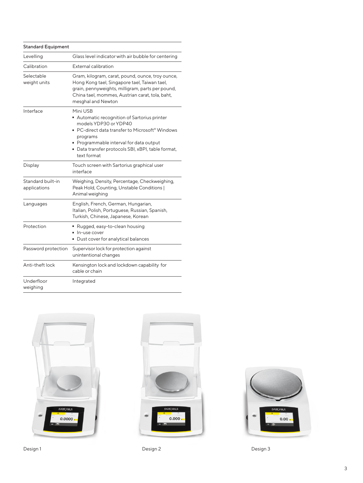| <b>Standard Equipment</b>         |                                                                                                                                                                                                                                                                |  |  |  |
|-----------------------------------|----------------------------------------------------------------------------------------------------------------------------------------------------------------------------------------------------------------------------------------------------------------|--|--|--|
| Levelling                         | Glass level indicator with air bubble for centering                                                                                                                                                                                                            |  |  |  |
| Calibration                       | External calibration                                                                                                                                                                                                                                           |  |  |  |
| Selectable<br>weight units        | Gram, kilogram, carat, pound, ounce, troy ounce,<br>Hong Kong tael, Singapore tael, Taiwan tael,<br>grain, pennyweights, milligram, parts per pound,<br>China tael, mommes, Austrian carat, tola, baht,<br>mesghal and Newton                                  |  |  |  |
| Interface                         | Mini USB<br>Automatic recognition of Sartorius printer<br>models YDP30 or YDP40<br>■ PC-direct data transfer to Microsoft® Windows<br>programs<br>• Programmable interval for data output<br>· Data transfer protocols SBI, xBPI, table format,<br>text format |  |  |  |
| Display                           | Touch screen with Sartorius graphical user<br>interface                                                                                                                                                                                                        |  |  |  |
| Standard built-in<br>applications | Weighing, Density, Percentage, Checkweighing,<br>Peak Hold, Counting, Unstable Conditions  <br>Animal weighing                                                                                                                                                 |  |  |  |
| Languages                         | English, French, German, Hungarian,<br>Italian, Polish, Portuguese, Russian, Spanish,<br>Turkish, Chinese, Japanese, Korean                                                                                                                                    |  |  |  |
| Protection                        | Rugged, easy-to-clean housing<br>In-use cover<br>Dust cover for analytical balances                                                                                                                                                                            |  |  |  |
| Password protection               | Supervisor lock for protection against<br>unintentional changes                                                                                                                                                                                                |  |  |  |
| Anti-theft lock                   | Kensington lock and lockdown capability for<br>cable or chain                                                                                                                                                                                                  |  |  |  |
| Underfloor<br>weighing            | Integrated                                                                                                                                                                                                                                                     |  |  |  |







Design 1 Design 2 Design 2 Design 2 Design 2 Design 3 Design 3 Design 3 Design 3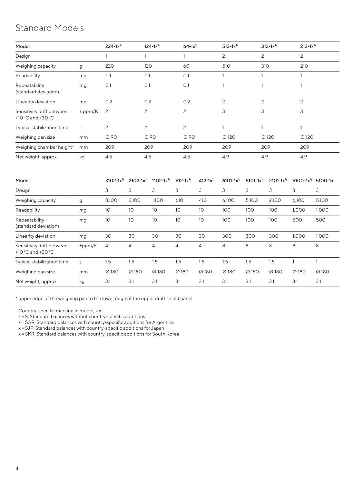### Standard Models

| Model                                          |             | $224 - 1x^{1}$ | $124 - 1x^{1}$ | $64-1x^{1}$ | $513 - 1x^{1}$ | $313 - 1x^{1}$ | $213 - 1x^{1}$ |
|------------------------------------------------|-------------|----------------|----------------|-------------|----------------|----------------|----------------|
| Design                                         |             |                |                |             | 2              | 2              | 2              |
| Weighing capacity                              | g           | 220            | 120            | 60          | 510            | 310            | 210            |
| Readability                                    | mg          | O.1            | O.1            | O.1         |                |                |                |
| Repeatability<br>(standard deviation)          | mg          | O.1            | O.1            | O.1         |                |                |                |
| Linearity deviation                            | mg          | 0.2            | 0.2            | 0.2         | $\overline{c}$ | $\overline{c}$ | 2              |
| Sensitivity drift between<br>+10 °C and +30 °C | $\pm$ ppm/K | $\overline{2}$ | 2              | 2           | 3              | 3              | 3              |
| Typical stabilization time                     | S           | 2              | 2              | 2           |                |                |                |
| Weighing pan size                              | mm          | Ø 90           | Ø 90           | Ø 90        | Ø 120          | Ø120           | Ø 120          |
| Weighing chamber height*                       | mm          | 209            | 209            | 209         | 209            | 209            | 209            |
| Net weight, approx.                            | kg          | 4.5            | 4.5            | 4.5         | 4.9            | 4.9            | 4.9            |

| Model                                                              |        | $3102 - 1x^{1}$   | $2102 - 1x^{1}$ | $1102 - 1x^{1}$ | $612 - 1x^{1}$ | $412 - 1x^{1}$ | $6101 - 1x^{1}$ | $5101 - 1x^{1}$ | $2101 - 1x^{1}$ | $6100 - 1x^{1}$ | $5100 - 1x^{1}$ |
|--------------------------------------------------------------------|--------|-------------------|-----------------|-----------------|----------------|----------------|-----------------|-----------------|-----------------|-----------------|-----------------|
| Design                                                             |        | 3                 | 3               | 3               | 3              | 3              | 3               | 3               | 3               | 3               | 3               |
| Weighing capacity                                                  | g      | 3,100             | 2,100           | 1,100           | 610            | 410            | 6,100           | 5,100           | 2,100           | 6,100           | 5,100           |
| Readability                                                        | mg     | 10                | 10              | 10              | 10             | 10             | 100             | 100             | 100             | 1,000           | 1,000           |
| Repeatability<br>(standard deviation)                              | mg     | 10                | 10              | 10              | 10             | 10             | 100             | 100             | 100             | 500             | 500             |
| Linearity deviation                                                | mg     | 30                | 30              | 30              | 30             | 30             | 300             | 300             | 300             | 1,000           | 1,000           |
| Sensitivity drift between<br>+10 $^{\circ}$ C and +30 $^{\circ}$ C | ±ppm/K | 4                 | 4               | 4               | 4              | 4              | 8               | 8               | 8               | 8               | 8               |
| Typical stabilization time                                         | S      | 1.5               | 1.5             | 1.5             | 1.5            | 1.5            | 1.5             | 1.5             | 1.5             |                 |                 |
| Weighing pan size                                                  | mm     | $\varnothing$ 180 | Ø180            | Ø180            | Ø180           | Ø180           | Ø180            | Ø180            | Ø180            | Ø 180           | Ø180            |
| Net weight, approx.                                                | kg     | 3.1               | 3.1             | 3.1             | 3.1            | 3.1            | 3.1             | 3.1             | 3.1             | 3.1             | 3.1             |

\* upper edge of the weighing pan to the lower edge of the upper draft shield panel

 $\frac{1}{2}$  Country-specific marking in model, x =

x = S: Standard balances without country-specific additions

x = SAR: Standard balances with country-specific additions for Argentina

x = SJP: Standard balances with country-specific additions for Japan

x = SKR: Standard balances with country-specific additions for South Korea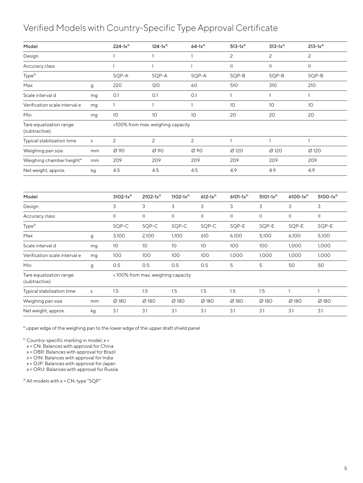#### Verified Models with Country-Specific Type Approval Certificate

| $\overline{c}$<br>$\overline{c}$<br>$\mathbf{2}$<br>Design<br>$\mathbf{1}$<br>$\mathbf{1}$<br>$\mathbf{1}$<br>$\mathbf{H}$<br>$\mathbf{II}$<br>$\mathbf{II}$<br>$\mathbf{I}$<br>$\mathbf{I}$<br>$\mathbf{I}$<br>Accuracy class<br>SQP-B<br>SQP-B<br>Type <sup>3</sup><br>SQP-A<br>SQP-A<br>SQP-A<br>SQP-B<br>220<br>120<br>60<br>510<br>310<br>210<br>Max<br>g<br>O.1<br>O.1<br>O.1<br>Scale interval d<br>$\mathbf{1}$<br>$\mathbf{1}$<br>$\mathbf{1}$<br>mg |                 |  |
|---------------------------------------------------------------------------------------------------------------------------------------------------------------------------------------------------------------------------------------------------------------------------------------------------------------------------------------------------------------------------------------------------------------------------------------------------------------|-----------------|--|
|                                                                                                                                                                                                                                                                                                                                                                                                                                                               |                 |  |
|                                                                                                                                                                                                                                                                                                                                                                                                                                                               |                 |  |
|                                                                                                                                                                                                                                                                                                                                                                                                                                                               |                 |  |
|                                                                                                                                                                                                                                                                                                                                                                                                                                                               |                 |  |
|                                                                                                                                                                                                                                                                                                                                                                                                                                                               |                 |  |
| $\mathbf{1}$<br>$\mathbf{1}$<br>$\mathbf{1}$<br>10<br>10<br>10<br>Verification scale interval e<br>mg                                                                                                                                                                                                                                                                                                                                                         |                 |  |
| 10<br>10 <sup>1</sup><br>10<br>20<br>20<br>20<br><b>Min</b><br>mg                                                                                                                                                                                                                                                                                                                                                                                             |                 |  |
| Tare equalization range<br><100% from max. weighing capacity<br>(subtractive)                                                                                                                                                                                                                                                                                                                                                                                 |                 |  |
| 2<br>$\overline{c}$<br>2<br>$\mathbf{1}$<br>$\mathbf{1}$<br>Typical stabilization time<br>$\mathbf{1}$<br>S                                                                                                                                                                                                                                                                                                                                                   |                 |  |
| Ø 90<br>Ø 90<br>Ø 90<br>Ø 120<br>Ø 120<br>Weighing pan size<br>mm                                                                                                                                                                                                                                                                                                                                                                                             | Ø 120           |  |
| 209<br>209<br>209<br>209<br>209<br>209<br>Weighing chamber height*<br>mm                                                                                                                                                                                                                                                                                                                                                                                      |                 |  |
| 4.5<br>4.5<br>4.5<br>4.9<br>4.9<br>4.9<br>Net weight, approx.<br>kg                                                                                                                                                                                                                                                                                                                                                                                           |                 |  |
|                                                                                                                                                                                                                                                                                                                                                                                                                                                               |                 |  |
| $3102 - 1x^{2}$<br>$2102 - 1x^{2}$<br>$1102 - 1x^{2}$<br>$612 - 1x^{2}$<br>$6101 - 1x^{2}$<br>$5101 - 1x^{2}$<br>$6100 - 1x^{2}$<br>Model                                                                                                                                                                                                                                                                                                                     | $5100 - 1x^{2}$ |  |
| $\mathsf{3}$<br>$\mathsf{3}$<br>3<br>$\mathsf{3}$<br>3<br>3<br>3<br>Design                                                                                                                                                                                                                                                                                                                                                                                    | 3               |  |
| $\mathbf{II}$<br>$\mathbf{  }$<br>$\mathbf{H}$<br>$\mathbf{H}$<br>$\mathbf{  }$<br>$\mathbf{  }$<br>$\mathbf{H}$<br>$\mathbf{  }$<br>Accuracy class                                                                                                                                                                                                                                                                                                           |                 |  |
| Type <sup>3</sup><br>SQP-C<br>SQP-C<br>SQP-C<br>SQP-C<br>SQP-E<br>SQP-E<br>SQP-E                                                                                                                                                                                                                                                                                                                                                                              | SQP-E           |  |
| 3,100<br>2,100<br>1,100<br>Max<br>610<br>6,100<br>5,100<br>6,100<br>g                                                                                                                                                                                                                                                                                                                                                                                         | 5,100           |  |
| Scale interval d<br>10<br>10<br>10<br>10<br>100<br>100<br>1,000<br>mg                                                                                                                                                                                                                                                                                                                                                                                         | 1,000           |  |
| 100<br>100<br>100<br>100<br>1,000<br>1,000<br>Verification scale interval e<br>1,000<br>mg                                                                                                                                                                                                                                                                                                                                                                    | 1,000           |  |
| 5<br>0.5<br>0.5<br>0.5<br>0.5<br>5<br>50<br>Min<br>g                                                                                                                                                                                                                                                                                                                                                                                                          | 50              |  |
| Tare equalization range<br><100% from max. weighing capacity<br>(subtractive)                                                                                                                                                                                                                                                                                                                                                                                 |                 |  |
| 1.5<br>1.5<br>1.5<br>1.5<br>1.5<br>1.5<br>$\mathbf{1}$<br>1<br>Typical stabilization time<br>$\mathsf S$                                                                                                                                                                                                                                                                                                                                                      |                 |  |
| Ø180<br>Ø 180<br>Ø 180<br>Ø180<br>Ø180<br>Ø180<br>Ø 180<br>Weighing pan size<br>mm                                                                                                                                                                                                                                                                                                                                                                            | Ø 180           |  |
| 3.1<br>3.1<br>3.1<br>3.1<br>3.1<br>3.1<br>3.1<br>Net weight, approx.<br>kg                                                                                                                                                                                                                                                                                                                                                                                    | 3.1             |  |

\* upper edge of the weighing pan to the lower edge of the upper draft shield panel

 $^{2)}$  Country-specific marking in model,  $x =$ 

x = CN: Balances with approval for China

x = OBR: Balances with approval for Brazil

x = OIN: Balances with approval for India

x = OJP: Balances with approval for Japan

x = ORU: Balances with approval for Russia

 $\sigma$ <sup>3)</sup> All models with x = CN: type "SQP"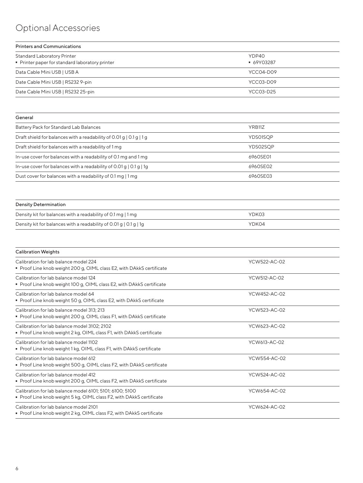## Optional Accessories

| <b>Printers and Communications</b>                                                    |                     |  |  |  |
|---------------------------------------------------------------------------------------|---------------------|--|--|--|
| <b>Standard Laboratory Printer</b><br>• Printer paper for standard laboratory printer | YDP40<br>■ 69Y03287 |  |  |  |
| Data Cable Mini USB   USB A                                                           | YCC04-D09           |  |  |  |
| Date Cable Mini USB   RS232 9-pin                                                     | YCC03-D09           |  |  |  |
| Date Cable Mini USB   RS232 25-pin                                                    | YCC03-D25           |  |  |  |

| General                                                              |          |
|----------------------------------------------------------------------|----------|
| Battery Pack for Standard Lab Balances                               | YRB11Z   |
| Draft shield for balances with a readability of 0.01 g   0.1 g   1 g | YDS01SOP |
| Draft shield for balances with a readability of 1 mg                 | YDS02SOP |
| In-use cover for balances with a readability of 0.1 mg and 1 mg      | 6960SE01 |
| In-use cover for balances with a readability of 0.01 g   0.1 g   1 g | 6960SE02 |
| Dust cover for balances with a readability of 0.1 mg   1 mg          | 6960SE03 |

| Density Determination                                                          |       |  |
|--------------------------------------------------------------------------------|-------|--|
| Density kit for balances with a readability of 0.1 mg   1 mg                   | YDK03 |  |
| Density kit for balances with a readability of 0.01 g $\vert$ 0.1 g $\vert$ 1g | YDK04 |  |

| YCW522-AC-02 |  |
|--------------|--|
| YCW512-AC-02 |  |
| YCW452-AC-02 |  |
| YCW523-AC-02 |  |
| YCW623-AC-02 |  |
| YCW613-AC-02 |  |
| YCW554-AC-02 |  |
| YCW524-AC-02 |  |
| YCW654-AC-02 |  |
| YCW624-AC-02 |  |
|              |  |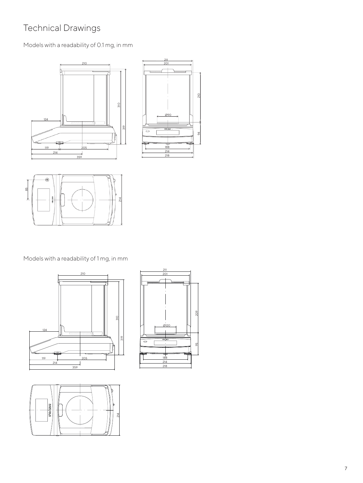### Technical Drawings

#### Models with a readability of 0.1 mg, in mm







Models with a readability of 1 mg, in mm